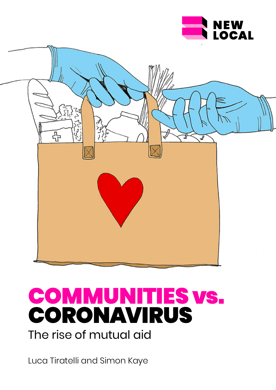



# COMMUNITIES vs. CORONAVIRUS The rise of mutual aid

Luca Tiratelli and Simon Kaye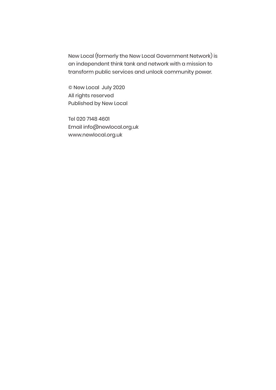New Local (formerly the New Local Government Network) is an independent think tank and network with a mission to transform public services and unlock community power.

© New Local July 2020 All rights reserved Published by New Local

Tel 020 7148 4601 Email info@newlocal.org.uk www.newlocal.org.uk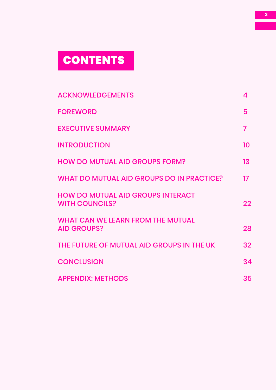# **CONTENTS**

| <b>ACKNOWLEDGEMENTS</b>                                           | 4       |
|-------------------------------------------------------------------|---------|
| <b>FOREWORD</b>                                                   | 5       |
| <b>EXECUTIVE SUMMARY</b>                                          | 7       |
| <b>INTRODUCTION</b>                                               | 10      |
| <b>HOW DO MUTUAL AID GROUPS FORM?</b>                             | 13      |
| <b>WHAT DO MUTUAL AID GROUPS DO IN PRACTICE?</b>                  | $17 \,$ |
| <b>HOW DO MUTUAL AID GROUPS INTERACT</b><br><b>WITH COUNCILS?</b> | 22      |
| <b>WHAT CAN WE LEARN FROM THE MUTUAL</b><br><b>AID GROUPS?</b>    | 28      |
| THE FUTURE OF MUTUAL AID GROUPS IN THE UK                         | 32      |
| <b>CONCLUSION</b>                                                 | 34      |
| <b>APPENDIX: METHODS</b>                                          | 35      |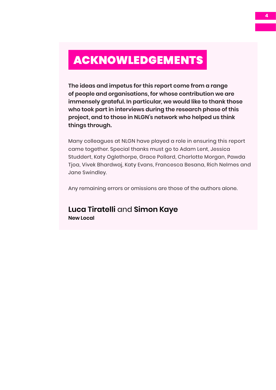## <span id="page-3-0"></span>ACKNOWLEDGEMENTS

**The ideas and impetus for this report come from a range of people and organisations, for whose contribution we are immensely grateful. In particular, we would like to thank those who took part in interviews during the research phase of this project, and to those in NLGN's network who helped us think things through.** 

Many colleagues at NLGN have played a role in ensuring this report came together. Special thanks must go to Adam Lent, Jessica Studdert, Katy Oglethorpe, Grace Pollard, Charlotte Morgan, Pawda Tjoa, Vivek Bhardwaj, Katy Evans, Francesca Besana, Rich Nelmes and Jane Swindley.

Any remaining errors or omissions are those of the authors alone.

**Luca Tiratelli** and **Simon Kaye New Local**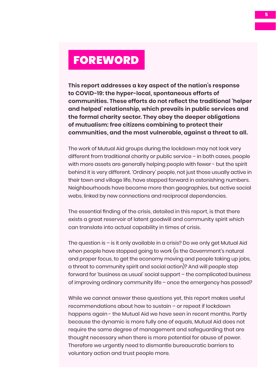## <span id="page-4-0"></span>FOREWORD

**This report addresses a key aspect of the nation's response to COVID-19: the hyper-local, spontaneous efforts of communities. These efforts do not reflect the traditional 'helper and helped' relationship, which prevails in public services and the formal charity sector. They obey the deeper obligations of mutualism: free citizens combining to protect their communities, and the most vulnerable, against a threat to all.** 

The work of Mutual Aid groups during the lockdown may not look very different from traditional charity or public service – in both cases, people with more assets are generally helping people with fewer - but the spirit behind it is very different. 'Ordinary' people, not just those usually active in their town and village life, have stepped forward in astonishing numbers. Neighbourhoods have become more than geographies, but active social webs, linked by new connections and reciprocal dependencies.

The essential finding of the crisis, detailed in this report, is that there exists a great reservoir of latent goodwill and community spirit which can translate into actual capability in times of crisis.

The question is – is it only available in a crisis? Do we only get Mutual Aid when people have stopped going to work (is the Government's natural and proper focus, to get the economy moving and people taking up jobs, a threat to community spirit and social action)? And will people step forward for 'business as usual' social support – the complicated business of improving ordinary community life – once the emergency has passed?

While we cannot answer these questions yet, this report makes useful recommendations about how to sustain – or repeat if lockdown happens again - the Mutual Aid we have seen in recent months. Partly because the dynamic is more fully one of equals, Mutual Aid does not require the same degree of management and safeguarding that are thought necessary when there is more potential for abuse of power. Therefore we urgently need to dismantle bureaucratic barriers to voluntary action and trust people more.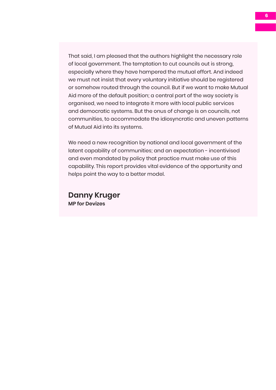That said, I am pleased that the authors highlight the necessary role of local government. The temptation to cut councils out is strong, especially where they have hampered the mutual effort. And indeed we must not insist that every voluntary initiative should be registered or somehow routed through the council. But if we want to make Mutual Aid more of the default position; a central part of the way society is organised, we need to integrate it more with local public services and democratic systems. But the onus of change is on councils, not communities, to accommodate the idiosyncratic and uneven patterns of Mutual Aid into its systems.

We need a new recognition by national and local government of the latent capability of communities; and an expectation - incentivised and even mandated by policy that practice must make use of this capability. This report provides vital evidence of the opportunity and helps point the way to a better model.

**Danny Kruger MP for Devizes**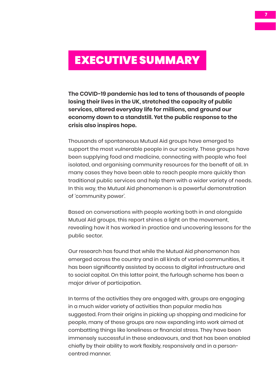## <span id="page-6-0"></span>EXECUTIVE SUMMARY

**The COVID-19 pandemic has led to tens of thousands of people losing their lives in the UK, stretched the capacity of public services, altered everyday life for millions, and ground our economy down to a standstill. Yet the public response to the crisis also inspires hope.** 

Thousands of spontaneous Mutual Aid groups have emerged to support the most vulnerable people in our society. These groups have been supplying food and medicine, connecting with people who feel isolated, and organising community resources for the benefit of all. In many cases they have been able to reach people more quickly than traditional public services and help them with a wider variety of needs. In this way, the Mutual Aid phenomenon is a powerful demonstration of 'community power'.

Based on conversations with people working both in and alongside Mutual Aid groups, this report shines a light on the movement, revealing how it has worked in practice and uncovering lessons for the public sector.

Our research has found that while the Mutual Aid phenomenon has emerged across the country and in all kinds of varied communities, it has been significantly assisted by access to digital infrastructure and to social capital. On this latter point, the furlough scheme has been a major driver of participation.

In terms of the activities they are engaged with, groups are engaging in a much wider variety of activities than popular media has suggested. From their origins in picking up shopping and medicine for people, many of these groups are now expanding into work aimed at combatting things like loneliness or financial stress. They have been immensely successful in these endeavours, and that has been enabled chiefly by their ability to work flexibly, responsively and in a personcentred manner.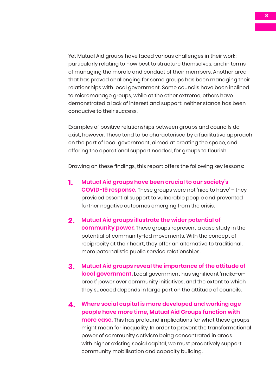Yet Mutual Aid groups have faced various challenges in their work: particularly relating to how best to structure themselves, and in terms of managing the morale and conduct of their members. Another area that has proved challenging for some groups has been managing their relationships with local government. Some councils have been inclined to micromanage groups, while at the other extreme, others have demonstrated a lack of interest and support: neither stance has been conducive to their success.

Examples of positive relationships between groups and councils do exist, however. These tend to be characterised by a facilitative approach on the part of local government, aimed at creating the space, and offering the operational support needed, for groups to flourish.

Drawing on these findings, this report offers the following key lessons:

- **1. Mutual Aid groups have been crucial to our society's COVID-19 response.** These groups were not 'nice to have' – they provided essential support to vulnerable people and prevented further negative outcomes emerging from the crisis.
- **2. Mutual Aid groups illustrate the wider potential of community power.** These groups represent a case study in the potential of community-led movements. With the concept of reciprocity at their heart, they offer an alternative to traditional, more paternalistic public service relationships.
- **3. Mutual Aid groups reveal the importance of the attitude of local government.** Local government has significant 'make-orbreak' power over community initiatives, and the extent to which they succeed depends in large part on the attitude of councils.
- **4. Where social capital is more developed and working age people have more time, Mutual Aid Groups function with more ease.** This has profound implications for what these groups might mean for inequality. In order to prevent the transformational power of community activism being concentrated in areas with higher existing social capital, we must proactively support community mobilisation and capacity building.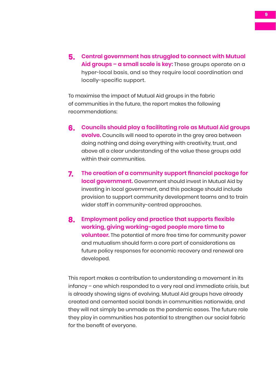**5. Central government has struggled to connect with Mutual Aid groups – a small scale is key:** These groups operate on a hyper-local basis, and so they require local coordination and locally-specific support.

To maximise the impact of Mutual Aid groups in the fabric of communities in the future, the report makes the following recommendations:

- **6. Councils should play a facilitating role as Mutual Aid groups evolve.** Councils will need to operate in the grey area between doing nothing and doing everything with creativity, trust, and above all a clear understanding of the value these groups add within their communities.
- **7. The creation of a community support financial package for local government.** Government should invest in Mutual Aid by investing in local government, and this package should include provision to support community development teams and to train wider staff in community-centred approaches.
- **8. Employment policy and practice that supports flexible working, giving working-aged people more time to volunteer.** The potential of more free time for community power and mutualism should form a core part of considerations as future policy responses for economic recovery and renewal are developed.

This report makes a contribution to understanding a movement in its infancy – one which responded to a very real and immediate crisis, but is already showing signs of evolving. Mutual Aid groups have already created and cemented social bonds in communities nationwide, and they will not simply be unmade as the pandemic eases. The future role they play in communities has potential to strengthen our social fabric for the benefit of everyone.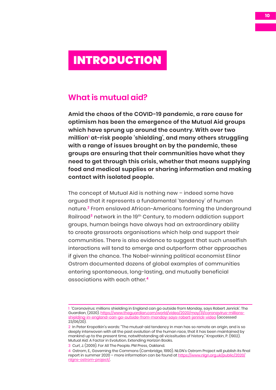## <span id="page-9-0"></span>INTRODUCTION

## **What is mutual aid?**

**Amid the chaos of the COVID-19 pandemic, a rare cause for optimism has been the emergence of the Mutual Aid groups which have sprung up around the country. With over two million1 at-risk people 'shielding', and many others struggling with a range of issues brought on by the pandemic, these groups are ensuring that their communities have what they need to get through this crisis, whether that means supplying food and medical supplies or sharing information and making contact with isolated people.** 

The concept of Mutual Aid is nothing new – indeed some have argued that it represents a fundamental 'tendency' of human nature.**<sup>2</sup>** From enslaved African-Americans forming the Underground Railroad**<sup>3</sup>** network in the 19th Century, to modern addiction support groups, human beings have always had an extraordinary ability to create grassroots organisations which help and support their communities. There is also evidence to suggest that such unselfish interactions will tend to emerge and outperform other approaches if given the chance. The Nobel-winning political economist Elinor Ostrom documented dozens of global examples of communities entering spontaneous, long-lasting, and mutually beneficial associations with each other.**<sup>4</sup>**

<sup>1 &#</sup>x27;Coronavirus: millions shielding in England can go outside from Monday, says Robert Jenrick'. The Guardian, (2020). [https://www.theguardian.com/world/video/2020/may/31/coronavirus-millions](https://www.theguardian.com/world/video/2020/may/31/coronavirus-millions-shielding-in-england-can-go-outside-from-monday-says-robert-jenrick-video)[shielding-in-england-can-go-outside-from-monday-says-robert-jenrick-video](https://www.theguardian.com/world/video/2020/may/31/coronavirus-millions-shielding-in-england-can-go-outside-from-monday-says-robert-jenrick-video) (accessed 23/06/20).

<sup>2</sup> In Peter Kropotkin's words: "The mutual-aid tendency in man has so remote an origin, and is so deeply interwoven with all the past evolution of the human race, that it has been maintained by mankind up to the present time, notwithstanding all vicissitudes of history." Kropotkin, P. (1902). Mutual Aid: A Factor in Evolution. Extending Horizon Books.

<sup>3</sup> Curl, J. (2009). For All The People. PM Press, Oakland.

<sup>4</sup> Ostrom, E., Governing the Commons (Cambridge, 1990). NLGN's Ostrom Project will publish its final report in summer 2020 – more information can be found at [https://www.nlgn.org.uk/public/2020/](https://www.nlgn.org.uk/public/2020/nlgns-ostrom-project/) [nlgns-ostrom-project/](https://www.nlgn.org.uk/public/2020/nlgns-ostrom-project/).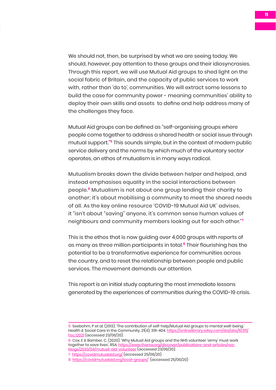We should not, then, be surprised by what we are seeing today. We should, however, pay attention to these groups and their idiosyncrasies. Through this report, we will use Mutual Aid groups to shed light on the social fabric of Britain, and the capacity of public services to work with, rather than 'do to', communities. We will extract some lessons to build the case for community power - meaning communities' ability to deploy their own skills and assets to define and help address many of the challenges they face.

Mutual Aid groups can be defined as "[self-organising groups where](https://onlinelibrary.wiley.com/doi/abs/10.1111/hsc.12021)  [people come together to address a shared](https://onlinelibrary.wiley.com/doi/abs/10.1111/hsc.12021) health or social issue through [mutual support.](https://onlinelibrary.wiley.com/doi/abs/10.1111/hsc.12021)"**<sup>5</sup>** This sounds simple, but in the context of modern public service delivery and the norms by which much of the voluntary sector operates, an ethos of mutualism is in many ways radical.

Mutualism breaks down the [divide between helper and helped](https://www.thersa.org/discover/publications-and-articles/rsa-blogs/2020/04/mutual-aid-volunteer), and instead emphasises equality in the social interactions between people.**<sup>6</sup>** Mutualism is not about one group lending their charity to another; it's about mobilising a community to meet the shared needs of all. As the key online resource 'COVID-19 Mutual Aid UK' advises, it "isn't about "saving" anyone, it's common sense human values of neighbours and community members looking out for each other."**<sup>7</sup>**

This is the ethos that is now guiding over 4[,000 groups with r](https://www.newsshopper.co.uk/news/18337420.organsier-lewisham-covid-19-mutual-aid-praises-community-response/)eports of as many as three million participants in total.**<sup>8</sup>** Their flourishing has the potential to be a transformative experience for communities across the country, and to reset the relationship between people and public services. The movement demands our attention.

This report is an initial study capturing the most immediate lessons generated by the experiences of communities during the COVID-19 crisis.

<sup>5</sup> Seebohm, P et al. (2013). '[The contribution of self-help/Mutual Aid groups to mental well-being.](https://onlinelibrary.wiley.com/doi/abs/10.1111/hsc.12021)' Health & Social Care in the Community, 21(4), 391-404. [https://onlinelibrary.wiley.com/doi/abs/10.1111/](https://onlinelibrary.wiley.com/doi/abs/10.1111/hsc.12021) [hsc.12021](https://onlinelibrary.wiley.com/doi/abs/10.1111/hsc.12021) (accessed 23/06/20).

<sup>6</sup> Cox, E & Bamber, C. (2020). '[Why Mutual Aid groups and the NHS volunteer 'army' must work](https://www.thersa.org/discover/publications-and-articles/rsa-blogs/2020/04/mutual-aid-volunteer)  [together to save lives'](https://www.thersa.org/discover/publications-and-articles/rsa-blogs/2020/04/mutual-aid-volunteer). RSA. [https://www.thersa.org/discover/publications-and-articles/rsa](https://www.thersa.org/discover/publications-and-articles/rsa-blogs/2020/04/mutual-aid-volunteer)[blogs/2020/04/mutual-aid-volunteer](https://www.thersa.org/discover/publications-and-articles/rsa-blogs/2020/04/mutual-aid-volunteer) (accessed 23/06/20). 7 <https://covidmutualaid.org/>(accessed 25/06/20)

<sup>8</sup> <https://covidmutualaid.org/local-groups/> (accessed 25/06/20)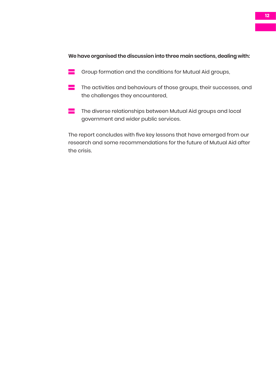### **We have organised the discussion into three main sections, dealing with:**

- $\blacksquare$  Group formation and the conditions for Mutual Aid groups,
- $\blacksquare$  The activities and behaviours of those groups, their successes, and the challenges they encountered,
- $\blacksquare$  The diverse relationships between Mutual Aid groups and local government and wider public services.

The report concludes with five key lessons that have emerged from our research and some recommendations for the future of Mutual Aid after the crisis.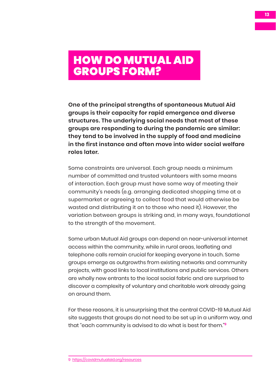## <span id="page-12-0"></span>HOW DO MUTUAL AID GROUPS FORM?

**One of the principal strengths of spontaneous Mutual Aid groups is their capacity for rapid emergence and diverse structures. The underlying social needs that most of these groups are responding to during the pandemic are similar: they tend to be involved in the supply of food and medicine in the first instance and often move into wider social welfare roles later.** 

Some constraints are universal. Each group needs a minimum number of committed and trusted volunteers with some means of interaction. Each group must have some way of meeting their community's needs (e.g. arranging dedicated shopping time at a supermarket or agreeing to collect food that would otherwise be wasted and distributing it on to those who need it). However, the variation between groups is striking and, in many ways, foundational to the strength of the movement.

Some urban Mutual Aid groups can depend on near-universal internet access within the community, while in rural areas, leafleting and telephone calls remain crucial for keeping everyone in touch. Some groups emerge as outgrowths from existing networks and community projects, with good links to local institutions and public services. Others are wholly new entrants to the local social fabric and are surprised to discover a complexity of voluntary and charitable work already going on around them.

For these reasons, it is unsurprising that the central COVID-19 Mutual Aid site suggests that groups do not need to be set up in a uniform way, and that "each community is advised to do what is best for them."**<sup>9</sup>**

<sup>9</sup> [https://covidmutualaid.org/resources](https://covidmutualaid.org/resources/)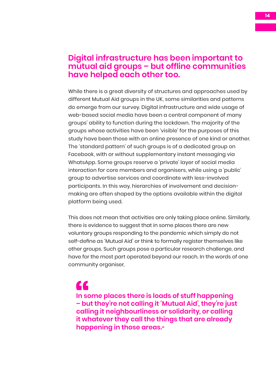## **Digital infrastructure has been important to mutual aid groups – but offline communities have helped each other too.**

While there is a great diversity of structures and approaches used by different Mutual Aid groups in the UK, some similarities and patterns do emerge from our survey. Digital infrastructure and wide usage of web-based social media have been a central component of many groups' ability to function during the lockdown. The majority of the groups whose activities have been 'visible' for the purposes of this study have been those with an online presence of one kind or another. The 'standard pattern' of such groups is of a dedicated group on Facebook, with or without supplementary instant messaging via WhatsApp. Some groups reserve a 'private' layer of social media interaction for core members and organisers, while using a 'public' group to advertise services and coordinate with less-involved participants. In this way, hierarchies of involvement and decisionmaking are often shaped by the options available within the digital platform being used.

This does not mean that activities are only taking place online. Similarly, there is evidence to suggest that in some places there are new voluntary groups responding to the pandemic which simply do not self-define as 'Mutual Aid' or think to formally register themselves like other groups. Such groups pose a particular research challenge, and have for the most part operated beyond our reach. In the words of one community organiser,

**In some places there is loads of stuff happening – but they're not calling it 'Mutual Aid', they're just calling it neighbourliness or solidarity, or calling it whatever they call the things that are already happening in those areas."** ln sc<br>- bu<br>calli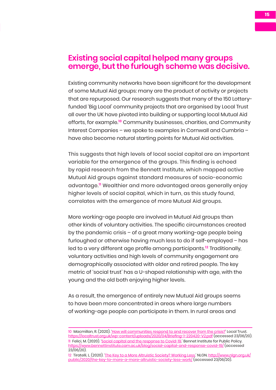### **Existing social capital helped many groups emerge, but the furlough scheme was decisive.**

Existing community networks have been significant for the development of some Mutual Aid groups: many are the product of activity or projects that are repurposed. Our research suggests that many of the 150 Lotteryfunded 'Big Local' community projects that are organised by Local Trust all over the UK have pivoted into building or supporting local Mutual Aid efforts, for example.**<sup>10</sup>** Community businesses, charities, and Community Interest Companies – we spoke to examples in Cornwall and Cumbria – have also become natural starting points for Mutual Aid activities.

This suggests that high levels of local social capital are an important variable for the emergence of the groups. This finding is echoed by rapid research from the Bennett Institute, which mapped active Mutual Aid groups against standard measures of socio-economic advantage.**<sup>11</sup>** Wealthier and more advantaged areas generally enjoy higher levels of social capital, which in turn, as this study found, correlates with the emergence of more Mutual Aid groups.

More working-age people are involved in Mutual Aid groups than other kinds of voluntary activities. The specific circumstances created by the pandemic crisis – of a great many working-age people being furloughed or otherwise having much less to do if self-employed – has led to a very different age profile among participants.**<sup>12</sup>** Traditionally, voluntary activities and high levels of community engagement are demographically associated with older and retired people. The key metric of 'social trust' has a U-shaped relationship with age, with the young and the old both enjoying higher levels.

As a result, the emergence of entirely new Mutual Aid groups seems to have been more concentrated in areas where large numbers of working-age people can participate in them. In rural areas and

<sup>10</sup> Macmillan, R. (2020). ['How will communities respond to and recover from the crisis?](https://localtrust.org.uk/wp-content/uploads/2020/04/Briefing-1-220420-V2.pdf)' Local Trust. <https://localtrust.org.uk/wp-content/uploads/2020/04/Briefing-1-220420-V2.pdf> (accessed 23/06/20). 11 Felici, M. (2020). '[Social capital and the response to Covid-19.](https://www.bennettinstitute.cam.ac.uk/blog/social-capital-and-response-covid-19/)' Bennet Institute for Public Policy. <https://www.bennettinstitute.cam.ac.uk/blog/social-capital-and-response-covid-19/>(accessed 23/06/20).

<sup>12</sup> Tiratelli, L. (2020). ['The Key to a More Altruistic Society? Working Less.](http://www.nlgn.org.uk/public/2020/the-key-to-more-a-more-altruistic-society-less-work/)' NLGN. [http://www.nlgn.org.uk/](http://www.nlgn.org.uk/public/2020/the-key-to-more-a-more-altruistic-society-less-work/) [public/2020/the-key-to-more-a-more-altruistic-society-less-work/](http://www.nlgn.org.uk/public/2020/the-key-to-more-a-more-altruistic-society-less-work/) (accessed 23/06/20).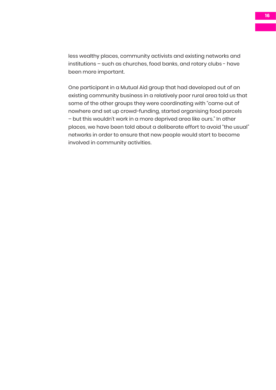less wealthy places, community activists and existing networks and institutions – such as churches, food banks, and rotary clubs - have been more important.

One participant in a Mutual Aid group that had developed out of an existing community business in a relatively poor rural area told us that some of the other groups they were coordinating with "came out of nowhere and set up crowd-funding, started organising food parcels – but this wouldn't work in a more deprived area like ours." In other places, we have been told about a deliberate effort to avoid "the usual" networks in order to ensure that new people would start to become involved in community activities.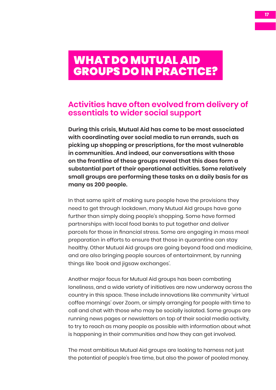## <span id="page-16-0"></span>WHAT DO MUTUAL AID GROUPS DO IN PRACTICE?

## **Activities have often evolved from delivery of essentials to wider social support**

**During this crisis, Mutual Aid has come to be most associated with coordinating over social media to run errands, such as picking up shopping or prescriptions, for the most vulnerable in communities. And indeed, our conversations with those on the frontline of these groups reveal that this does form a substantial part of their operational activities. Some relatively small groups are performing these tasks on a daily basis for as many as 200 people.** 

In that same spirit of making sure people have the provisions they need to get through lockdown, many Mutual Aid groups have gone further than simply doing people's shopping. Some have formed partnerships with local food banks to put together and deliver parcels for those in financial stress. Some are engaging in mass meal preparation in efforts to ensure that those in quarantine can stay healthy. Other Mutual Aid groups are going beyond food and medicine, and are also bringing people sources of entertainment, by running things like 'book and jigsaw exchanges'.

Another major focus for Mutual Aid groups has been combating loneliness, and a wide variety of initiatives are now underway across the country in this space. These include innovations like community 'virtual coffee mornings' over Zoom, or simply arranging for people with time to call and chat with those who may be socially isolated. Some groups are running news pages or newsletters on top of their social media activity, to try to reach as many people as possible with information about what is happening in their communities and how they can get involved.

The most ambitious Mutual Aid groups are looking to harness not just the potential of people's free time, but also the power of pooled money.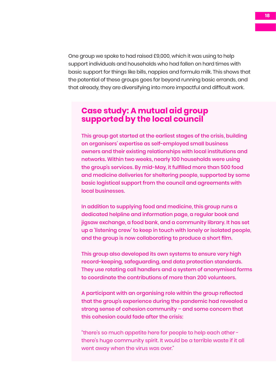One group we spoke to had raised £9,000, which it was using to help support individuals and households who had fallen on hard times with basic support for things like bills, nappies and formula milk. This shows that the potential of these groups goes far beyond running basic errands, and that already, they are diversifying into more impactful and difficult work.

## **Case study: A mutual aid group supported by the local council**

This group got started at the earliest stages of the crisis, building on organisers' expertise as self-employed small business owners and their existing relationships with local institutions and networks. Within two weeks, nearly 100 households were using the group's services. By mid-May, it fulfilled more than 500 food and medicine deliveries for sheltering people, supported by some basic logistical support from the council and agreements with local businesses.

In addition to supplying food and medicine, this group runs a dedicated helpline and information page, a regular book and jigsaw exchange, a food bank, and a community library. It has set up a 'listening crew' to keep in touch with lonely or isolated people, and the group is now collaborating to produce a short film.

This group also developed its own systems to ensure very high record-keeping, safeguarding, and data protection standards. They use rotating call handlers and a system of anonymised forms to coordinate the contributions of more than 200 volunteers.

A participant with an organising role within the group reflected that the group's experience during the pandemic had revealed a strong sense of cohesion community – and some concern that this cohesion could fade after the crisis:

"there's so much appetite here for people to help each other there's huge community spirit. It would be a terrible waste if it all went away when the virus was over."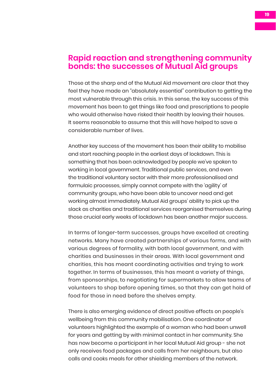## **Rapid reaction and strengthening community bonds: the successes of Mutual Aid groups**

Those at the sharp end of the Mutual Aid movement are clear that they feel they have made an "absolutely essential" contribution to getting the most vulnerable through this crisis. In this sense, the key success of this movement has been to get things like food and prescriptions to people who would otherwise have risked their health by leaving their houses. It seems reasonable to assume that this will have helped to save a considerable number of lives.

Another key success of the movement has been their ability to mobilise and start reaching people in the earliest days of lockdown. This is something that has been acknowledged by people we've spoken to working in local government. Traditional public services, and even the traditional voluntary sector with their more professionalised and formulaic processes, simply cannot compete with the 'agility' of community groups, who have been able to uncover need and get working almost immediately. Mutual Aid groups' ability to pick up the slack as charities and traditional services reorganised themselves during those crucial early weeks of lockdown has been another major success.

In terms of longer-term successes, groups have excelled at creating networks. Many have created partnerships of various forms, and with various degrees of formality, with both local government, and with charities and businesses in their areas. With local government and charities, this has meant coordinating activities and trying to work together. In terms of businesses, this has meant a variety of things, from sponsorships, to negotiating for supermarkets to allow teams of volunteers to shop before opening times, so that they can get hold of food for those in need before the shelves empty.

There is also emerging evidence of direct positive effects on people's wellbeing from this community mobilisation. One coordinator of volunteers highlighted the example of a woman who had been unwell for years and getting by with minimal contact in her community. She has now become a participant in her local Mutual Aid group - she not only receives food packages and calls from her neighbours, but also calls and cooks meals for other shielding members of the network.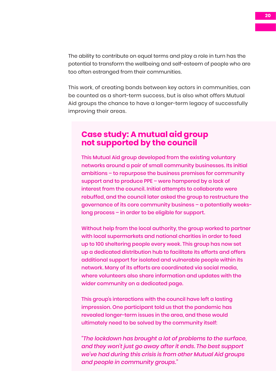The ability to contribute on equal terms and play a role in turn has the potential to transform the wellbeing and self-esteem of people who are too often estranged from their communities.

This work, of creating bonds between key actors in communities, can be counted as a short-term success, but is also what offers Mutual Aid groups the chance to have a longer-term legacy of successfully improving their areas.

### **Case study: A mutual aid group not supported by the council**

This Mutual Aid group developed from the existing voluntary networks around a pair of small community businesses. Its initial ambitions – to repurpose the business premises for community support and to produce PPE – were hampered by a lack of interest from the council. Initial attempts to collaborate were rebuffed, and the council later asked the group to restructure the governance of its core community business – a potentially weekslong process – in order to be eligible for support.

Without help from the local authority, the group worked to partner with local supermarkets and national charities in order to feed up to 100 sheltering people every week. This group has now set up a dedicated distribution hub to facilitate its efforts and offers additional support for isolated and vulnerable people within its network. Many of its efforts are coordinated via social media, where volunteers also share information and updates with the wider community on a dedicated page.

This group's interactions with the council have left a lasting impression. One participant told us that the pandemic has revealed longer-term issues in the area, and these would ultimately need to be solved by the community itself:

*"The lockdown has brought a lot of problems to the surface, and they won't just go away after it ends. The best support we've had during this crisis is from other Mutual Aid groups and people in community groups."*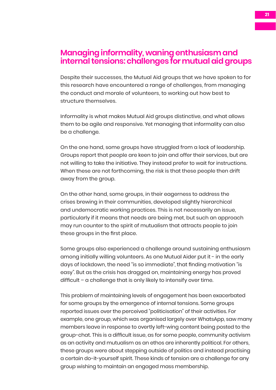### **Managing informality, waning enthusiasm and internal tensions: challenges for mutual aid groups**

Despite their successes, the Mutual Aid groups that we have spoken to for this research have encountered a range of challenges, from managing the conduct and morale of volunteers, to working out how best to structure themselves.

Informality is what makes Mutual Aid groups distinctive, and what allows them to be agile and responsive. Yet managing that informality can also be a challenge.

On the one hand, some groups have struggled from a lack of leadership. Groups report that people are keen to join and offer their services, but are not willing to take the initiative. They instead prefer to wait for instructions. When these are not forthcoming, the risk is that these people then drift away from the group.

On the other hand, some groups, in their eagerness to address the crises brewing in their communities, developed slightly hierarchical and undemocratic working practices. This is not necessarily an issue, particularly if it means that needs are being met, but such an approach may run counter to the spirit of mutualism that attracts people to join these groups in the first place.

Some groups also experienced a challenge around sustaining enthusiasm among initially willing volunteers. As one Mutual Aider put it - in the early days of lockdown, the need "is so immediate", that finding motivation "is easy". But as the crisis has dragged on, maintaining energy has proved difficult – a challenge that is only likely to intensify over time.

This problem of maintaining levels of engagement has been exacerbated for some groups by the emergence of internal tensions. Some groups reported issues over the perceived "politicisation" of their activities. For example, one group, which was organised largely over WhatsApp, saw many members leave in response to overtly left-wing content being posted to the group-chat. This is a difficult issue, as for some people, community activism as an activity and mutualism as an ethos are inherently political. For others, these groups were about stepping outside of politics and instead practising a certain do-it-yourself spirit. These kinds of tension are a challenge for any group wishing to maintain an engaged mass membership.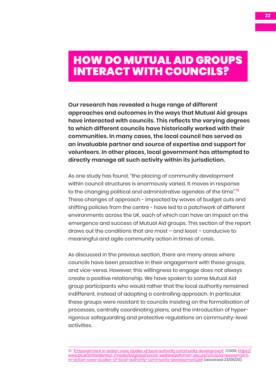## <span id="page-21-0"></span>HOW DO MUTUAL AID GROUPS INTERACT WITH COUNCILS?

**Our research has revealed a huge range of different approaches and outcomes in the ways that Mutual Aid groups have interacted with councils. This reflects the varying degrees to which different councils have historically worked with their communities. In many cases, the local council has served as an invaluable partner and source of expertise and support for volunteers. In other places, local government has attempted to directly manage all such activity within its jurisdiction.**

As one study has found, "the placing of community development within council structures is enormously varied. It moves in response to the changing political and administrative agendas of the time".**<sup>13</sup>** These changes of approach - impacted by waves of budget cuts and shifting policies from the centre - have led to a patchwork of different environments across the UK, each of which can have an impact on the emergence and success of Mutual Aid groups. This section of the report draws out the conditions that are most – and least – conducive to meaningful and agile community action in times of crisis.

As discussed in the previous section, there are many areas where councils have been proactive in their engagement with these groups, and vice-versa. However, this willingness to engage does not always create a positive relationship. We have spoken to some Mutual Aid group participants who would rather that the local authority remained indifferent, instead of adopting a controlling approach. In particular, these groups were resistant to councils insisting on the formalisation of processes, centrally coordinating plans, and the introduction of hyperrigorous safeguarding and protective regulations on community-level activities.

<sup>13 &#</sup>x27;[Empowerment in action: case studies of local authority community development'](about:blank). COGS. [https://](https://www.bl.uk/britishlibrary/~/media/bl/global/social-welfare/pdfs/non-secure/e/m/p/empowerment-in-action-case-studies-of-local-authority-community-development.pdf) [www.bl.uk/britishlibrary/~/media/bl/global/social-welfare/pdfs/non-secure/e/m/p/empowerment](https://www.bl.uk/britishlibrary/~/media/bl/global/social-welfare/pdfs/non-secure/e/m/p/empowerment-in-action-case-studies-of-local-authority-community-development.pdf)[in-action-case-studies-of-local-authority-community-development.pdf](https://www.bl.uk/britishlibrary/~/media/bl/global/social-welfare/pdfs/non-secure/e/m/p/empowerment-in-action-case-studies-of-local-authority-community-development.pdf) (accessed 23/06/20).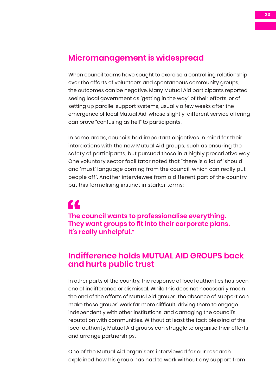## **Micromanagement is widespread**

When council teams have sought to exercise a controlling relationship over the efforts of volunteers and spontaneous community groups, the outcomes can be negative. Many Mutual Aid participants reported seeing local government as "getting in the way" of their efforts, or of setting up parallel support systems, usually a few weeks after the emergence of local Mutual Aid, whose slightly-different service offering can prove "confusing as hell" to participants.

In some areas, councils had important objectives in mind for their interactions with the new Mutual Aid groups, such as ensuring the safety of participants, but pursued these in a highly prescriptive way. One voluntary sector facilitator noted that "there is a lot of 'should' and 'must' language coming from the council, which can really put people off". Another interviewee from a different part of the country put this formalising instinct in starker terms:

**The council wants to professionalise everything. They want groups to fit into their corporate plans. It's really unhelpful."**  The<br>The<br>It's r

## **Indifference holds MUTUAL AID GROUPS back and hurts public trust**

In other parts of the country, the response of local authorities has been one of indifference or dismissal. While this does not necessarily mean the end of the efforts of Mutual Aid groups, the absence of support can make those groups' work far more difficult, driving them to engage independently with other institutions, and damaging the council's reputation with communities. Without at least the tacit blessing of the local authority, Mutual Aid groups can struggle to organise their efforts and arrange partnerships.

One of the Mutual Aid organisers interviewed for our research explained how his group has had to work without any support from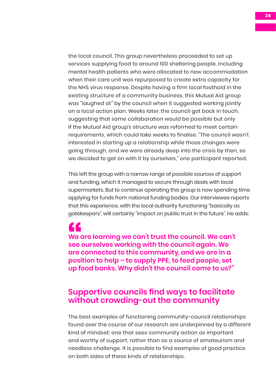the local council. This group nevertheless proceeded to set up services supplying food to around 100 sheltering people, including mental health patients who were allocated to new accommodation when their care unit was repurposed to create extra capacity for the NHS virus response. Despite having a firm local foothold in the existing structure of a community business, this Mutual Aid group was "laughed at" by the council when it suggested working jointly on a local action plan. Weeks later, the council got back in touch, suggesting that some collaboration would be possible but only if the Mutual Aid group's structure was reformed to meet certain requirements, which could take weeks to finalise. "The council wasn't interested in starting up a relationship while those changes were going through, and we were already deep into the crisis by then, so we decided to get on with it by ourselves," one participant reported.

This left the group with a narrow range of possible sources of support and funding, which it managed to secure through deals with local supermarkets. But to continue operating this group is now spending time applying for funds from national funding bodies. Our interviewee reports that this experience, with the local authority functioning "basically as gatekeepers", will certainly "impact on public trust in the future". He adds:

**We are learning we can't trust the council. We can't see ourselves working with the council again. We**  We are learning we can't trust the council. We can<br>see ourselves working with the council again. We<br>are connected to this community, and we are in a **position to help – to supply PPE, to feed people, set up food banks. Why didn't the council come to us?"** 

### **Supportive councils find ways to facilitate without crowding-out the community**

The best examples of functioning community-council relationships found over the course of our research are underpinned by a different kind of mindset: one that sees community action as important and worthy of support, rather than as a source of amateurism and needless challenge. It is possible to find examples of good practice on both sides of these kinds of relationships.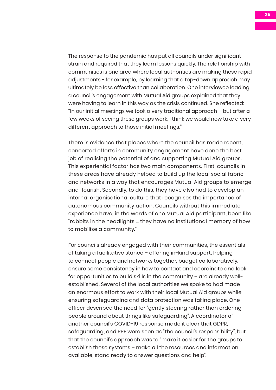The response to the pandemic has put all councils under significant strain and required that they learn lessons quickly. The relationship with communities is one area where local authorities are making these rapid adjustments - for example, by learning that a top-down approach may ultimately be less effective than collaboration. One interviewee leading a council's engagement with Mutual Aid groups explained that they were having to learn in this way as the crisis continued. She reflected: "In our initial meetings we took a very traditional approach – but after a few weeks of seeing these groups work, I think we would now take a very different approach to those initial meetings."

There is evidence that places where the council has made recent, concerted efforts in community engagement have done the best job of realising the potential of and supporting Mutual Aid groups. This experiential factor has two main components. First, councils in these areas have already helped to build up the local social fabric and networks in a way that encourages Mutual Aid groups to emerge and flourish. Secondly, to do this, they have also had to develop an internal organisational culture that recognises the importance of autonomous community action. Councils without this immediate experience have, in the words of one Mutual Aid participant, been like "rabbits in the headlights … they have no institutional memory of how to mobilise a community."

For councils already engaged with their communities, the essentials of taking a facilitative stance – offering in-kind support, helping to connect people and networks together, budget collaboratively, ensure some consistency in how to contact and coordinate and look for opportunities to build skills in the community – are already wellestablished. Several of the local authorities we spoke to had made an enormous effort to work with their local Mutual Aid groups while ensuring safeguarding and data protection was taking place. One officer described the need for "gently steering rather than ordering people around about things like safeguarding". A coordinator of another council's COVID-19 response made it clear that GDPR, safeguarding, and PPE were seen as "the council's responsibility", but that the council's approach was to "make it easier for the groups to establish these systems – make all the resources and information available, stand ready to answer questions and help".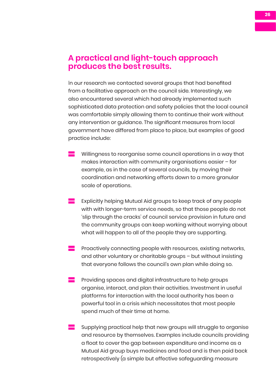### **A practical and light-touch approach produces the best results.**

In our research we contacted several groups that had benefited from a facilitative approach on the council side. Interestingly, we also encountered several which had already implemented such sophisticated data protection and safety policies that the local council was comfortable simply allowing them to continue their work without any intervention or guidance. The significant measures from local government have differed from place to place, but examples of good practice include:

- Willingness to reorganise some council operations in a way that makes interaction with community organisations easier – for example, as in the case of several councils, by moving their coordination and networking efforts down to a more granular scale of operations.
- Explicitly helping Mutual Aid groups to keep track of any people with with longer-term service needs, so that those people do not 'slip through the cracks' of council service provision in future and the community groups can keep working without worrying about what will happen to all of the people they are supporting.
- Proactively connecting people with resources, existing networks, and other voluntary or charitable groups – but without insisting that everyone follows the council's own plan while doing so.
- Providing spaces and digital infrastructure to help groups organise, interact, and plan their activities. Investment in useful platforms for interaction with the local authority has been a powerful tool in a crisis which necessitates that most people spend much of their time at home.
- Supplying practical help that new groups will struggle to organise and resource by themselves. Examples include councils providing a float to cover the gap between expenditure and income as a Mutual Aid group buys medicines and food and is then paid back retrospectively (a simple but effective safeguarding measure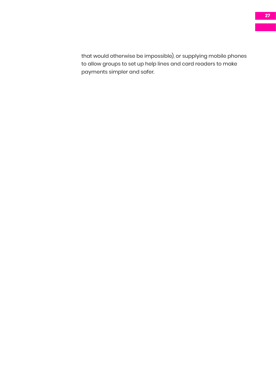that would otherwise be impossible), or supplying mobile phones to allow groups to set up help lines and card readers to make payments simpler and safer.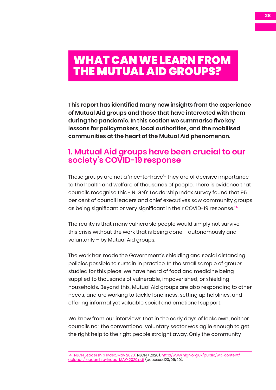## <span id="page-27-0"></span>WHAT CAN WE LEARN FROM THE MUTUAL AID GROUPS?

**This report has identified many new insights from the experience of Mutual Aid groups and those that have interacted with them during the pandemic. In this section we summarise five key lessons for policymakers, local authorities, and the mobilised communities at the heart of the Mutual Aid phenomenon.**

## **1. Mutual Aid groups have been crucial to our society's COVID-19 response**

These groups are not a 'nice-to-have'- they are of decisive importance to the health and welfare of thousands of people. There is evidence that councils recognise this - NLGN's Leadership Index survey found that 95 per cent of council leaders and chief executives saw community groups as being significant or very significant in their COVID-19 response.**<sup>14</sup>**

The reality is that many vulnerable people would simply not survive this crisis without the work that is being done – autonomously and voluntarily – by Mutual Aid groups.

The work has made the Government's shielding and social distancing policies possible to sustain in practice. In the small sample of groups studied for this piece, we have heard of food and medicine being supplied to thousands of vulnerable, impoverished, or shielding households. Beyond this, Mutual Aid groups are also responding to other needs, and are working to tackle loneliness, setting up helplines, and offering informal yet valuable social and emotional support.

We know from our interviews that in the early days of lockdown, neither councils nor the conventional voluntary sector was agile enough to get the right help to the right people straight away. Only the community

14 ['NLGN Leadership Index, May 2020'.](http://www.nlgn.org.uk/public/wp-content/uploads/Leadership-Index_MAY-2020.pdf) NLGN, (2020). [http://www.nlgn.org.uk/public/wp-content/](http://www.nlgn.org.uk/public/wp-content/uploads/Leadership-Index_MAY-2020.pdf) [uploads/Leadership-Index\\_MAY-2020.pdf](http://www.nlgn.org.uk/public/wp-content/uploads/Leadership-Index_MAY-2020.pdf) (accessed23/06/20).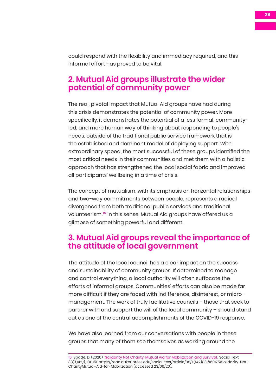could respond with the flexibility and immediacy required, and this informal effort has proved to be vital.

## **2. Mutual Aid groups illustrate the wider potential of community power**

The real, pivotal impact that Mutual Aid groups have had during this crisis demonstrates the potential of community power. More specifically, it demonstrates the potential of a less formal, communityled, and more human way of thinking about responding to people's needs, outside of the traditional public service framework that is the established and dominant model of deploying support. With extraordinary speed, the most successful of these groups identified the most critical needs in their communities and met them with a holistic approach that has strengthened the local social fabric and improved all participants' wellbeing in a time of crisis.

The concept of mutualism, with its emphasis on horizontal relationships and two-way commitments between people, represents a radical divergence from both traditional public services and traditional volunteerism.**<sup>15</sup>** In this sense, Mutual Aid groups have offered us a glimpse of something powerful and different.

## **3. Mutual Aid groups reveal the importance of the attitude of local government**

The attitude of the local council has a clear impact on the success and sustainability of community groups. If determined to manage and control everything, a local authority will often suffocate the efforts of informal groups. Communities' efforts can also be made far more difficult if they are faced with indifference, disinterest, or micromanagement. The work of truly facilitative councils – those that seek to partner with and support the will of the local community – should stand out as one of the central accomplishments of the COVID-19 response.

We have also learned from our conversations with people in these groups that many of them see themselves as working around the

15 Spade, D. (2020). '[Solidarity Not Charity: Mutual Aid for Mobilization and Survival](https://read.dukeupress.edu/social-text/article/38/1 (142)/131/160175/Solidarity-Not-CharityMutual-Aid-for-Mobilization).' Social Text, 38(1(142)), 131-151. https://read.dukeupress.edu/social-text/article/38/1 (142)/131/160175/Solidarity-Not-CharityMutual-Aid-for-Mobilization (accessed 23/06/20).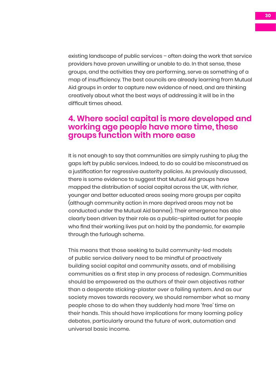existing landscape of public services – often doing the work that service providers have proven unwilling or unable to do. In that sense, these groups, and the activities they are performing, serve as something of a map of insufficiency. The best councils are already learning from Mutual Aid groups in order to capture new evidence of need, and are thinking creatively about what the best ways of addressing it will be in the difficult times ahead.

## **4. Where social capital is more developed and working age people have more time, these groups function with more ease**

It is not enough to say that communities are simply rushing to plug the gaps left by public services. Indeed, to do so could be misconstrued as a justification for regressive austerity policies. As previously discussed, there is some evidence to suggest that Mutual Aid groups have mapped the distribution of social capital across the UK, with richer, younger and better educated areas seeing more groups per capita (although community action in more deprived areas may not be conducted under the Mutual Aid banner). Their emergence has also clearly been driven by their role as a public-spirited outlet for people who find their working lives put on hold by the pandemic, for example through the furlough scheme.

This means that those seeking to build community-led models of public service delivery need to be mindful of proactively building social capital and community assets, and of mobilising communities as a first step in any process of redesign. Communities should be empowered as the authors of their own objectives rather than a desperate sticking-plaster over a failing system. And as our society moves towards recovery, we should remember what so many people chose to do when they suddenly had more 'free' time on their hands. This should have implications for many looming policy debates, particularly around the future of work, automation and universal basic income.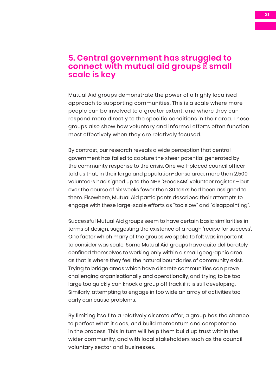### **5. Central government has struggled to connect with mutual aid groups ‒ small scale is key**

Mutual Aid groups demonstrate the power of a highly localised approach to supporting communities. This is a scale where more people can be involved to a greater extent, and where they can respond more directly to the specific conditions in their area. These groups also show how voluntary and informal efforts often function most effectively when they are relatively focused.

By contrast, our research reveals a wide perception that central government has failed to capture the sheer potential generated by the community response to the crisis. One well-placed council officer told us that, in their large and population-dense area, more than 2,500 volunteers had signed up to the NHS 'GoodSAM' volunteer register – but over the course of six weeks fewer than 30 tasks had been assigned to them. Elsewhere, Mutual Aid participants described their attempts to engage with these large-scale efforts as "too slow" and "disappointing".

Successful Mutual Aid groups seem to have certain basic similarities in terms of design, suggesting the existence of a rough 'recipe for success'. One factor which many of the groups we spoke to felt was important to consider was scale. Some Mutual Aid groups have quite deliberately confined themselves to working only within a small geographic area, as that is where they feel the natural boundaries of community exist. Trying to bridge areas which have discrete communities can prove challenging organisationally and operationally, and trying to be too large too quickly can knock a group off track if it is still developing. Similarly, attempting to engage in too wide an array of activities too early can cause problems.

By limiting itself to a relatively discrete offer, a group has the chance to perfect what it does, and build momentum and competence in the process. This in turn will help them build up trust within the wider community, and with local stakeholders such as the council, voluntary sector and businesses.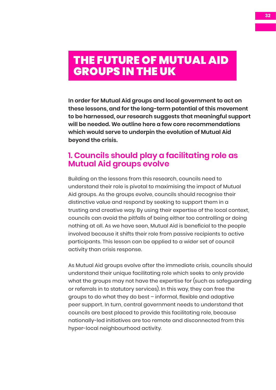## <span id="page-31-0"></span>THE FUTURE OF MUTUAL AID GROUPS IN THE UK

**In order for Mutual Aid groups and local government to act on these lessons, and for the long-term potential of this movement to be harnessed, our research suggests that meaningful support will be needed. We outline here a few core recommendations which would serve to underpin the evolution of Mutual Aid beyond the crisis.**

## **1. Councils should play a facilitating role as Mutual Aid groups evolve**

Building on the lessons from this research, councils need to understand their role is pivotal to maximising the impact of Mutual Aid groups. As the groups evolve, councils should recognise their distinctive value and respond by seeking to support them in a trusting and creative way. By using their expertise of the local context, councils can avoid the pitfalls of being either too controlling or doing nothing at all. As we have seen, Mutual Aid is beneficial to the people involved because it shifts their role from passive recipients to active participants. This lesson can be applied to a wider set of council activity than crisis response.

As Mutual Aid groups evolve after the immediate crisis, councils should understand their unique facilitating role which seeks to only provide what the groups may not have the expertise for (such as safeguarding or referrals in to statutory services). In this way, they can free the groups to do what they do best – informal, flexible and adaptive peer support. In turn, central government needs to understand that councils are best placed to provide this facilitating role, because nationally-led initiatives are too remote and disconnected from this hyper-local neighbourhood activity.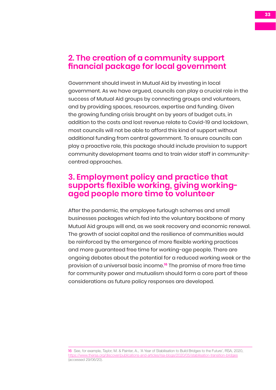## **2. The creation of a community support financial package for local government**

Government should invest in Mutual Aid by investing in local government. As we have argued, councils can play a crucial role in the success of Mutual Aid groups by connecting groups and volunteers, and by providing spaces, resources, expertise and funding. Given the growing funding crisis brought on by years of budget cuts, in addition to the costs and lost revenue relate to Covid-19 and lockdown, most councils will not be able to afford this kind of support without additional funding from central government. To ensure councils can play a proactive role, this package should include provision to support community development teams and to train wider staff in communitycentred approaches.

## **3. Employment policy and practice that supports flexible working, giving workingaged people more time to volunteer**

After the pandemic, the employee furlough schemes and small businesses packages which fed into the voluntary backbone of many Mutual Aid groups will end, as we seek recovery and economic renewal. The growth of social capital and the resilience of communities would be reinforced by the emergence of more flexible working practices and more guaranteed free time for working-age people. There are ongoing debates about the potential for a reduced working week or the provision of a universal basic income.**<sup>16</sup>** The promise of more free time for community power and mutualism should form a core part of these considerations as future policy responses are developed.

<sup>16</sup> See, for example, Taylor, M. & Painter, A., 'A Year of Stabilisation to Build Bridges to the Future', RSA, 2020, <https://www.thersa.org/discover/publications-and-articles/rsa-blogs/2020/05/stabilisation-transition-bridges> (accessed 29/06/20).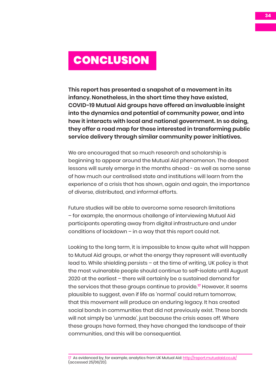## <span id="page-33-0"></span>CONCLUSION

**This report has presented a snapshot of a movement in its infancy. Nonetheless, in the short time they have existed, COVID-19 Mutual Aid groups have offered an invaluable insight into the dynamics and potential of community power, and into how it interacts with local and national government. In so doing, they offer a road map for those interested in transforming public service delivery through similar community power initiatives.** 

We are encouraged that so much research and scholarship is beginning to appear around the Mutual Aid phenomenon. The deepest lessons will surely emerge in the months ahead - as well as some sense of how much our centralised state and institutions will learn from the experience of a crisis that has shown, again and again, the importance of diverse, distributed, and informal efforts.

Future studies will be able to overcome some research limitations – for example, the enormous challenge of interviewing Mutual Aid participants operating away from digital infrastructure and under conditions of lockdown – in a way that this report could not.

Looking to the long term, it is impossible to know quite what will happen to Mutual Aid groups, or what the energy they represent will eventually lead to. While shielding persists – at the time of writing, UK policy is that the most vulnerable people should continue to self-isolate until August 2020 at the earliest – there will certainly be a sustained demand for the services that these groups continue to provide.**<sup>17</sup>** However, it seems plausible to suggest, even if life as 'normal' could return tomorrow, that this movement will produce an enduring legacy. It has created social bonds in communities that did not previously exist. These bonds will not simply be 'unmade', just because the crisis eases off. Where these groups have formed, they have changed the landscape of their communities, and this will be consequential.

<sup>17</sup> As evidenced by, for example, analytics from UK Mutual Aid: <http://report.mutualaid.co.uk/> (accessed 25/06/20).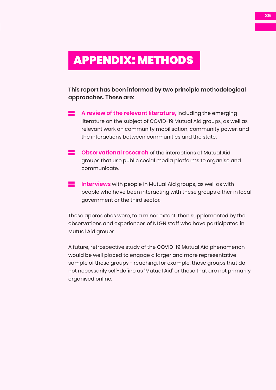## <span id="page-34-0"></span>APPENDIX: METHODS

**This report has been informed by two principle methodological approaches. These are:**

- **A review of the relevant literature**, including the emerging literature on the subject of COVID-19 Mutual Aid groups, as well as relevant work on community mobilisation, community power, and the interactions between communities and the state.
- **E** Observational research of the interactions of Mutual Aid groups that use public social media platforms to organise and communicate.
- **Interviews** with people in Mutual Aid groups, as well as with people who have been interacting with these groups either in local government or the third sector.

These approaches were, to a minor extent, then supplemented by the observations and experiences of NLGN staff who have participated in Mutual Aid groups.

A future, retrospective study of the COVID-19 Mutual Aid phenomenon would be well placed to engage a larger and more representative sample of these groups - reaching, for example, those groups that do not necessarily self-define as 'Mutual Aid' or those that are not primarily organised online.